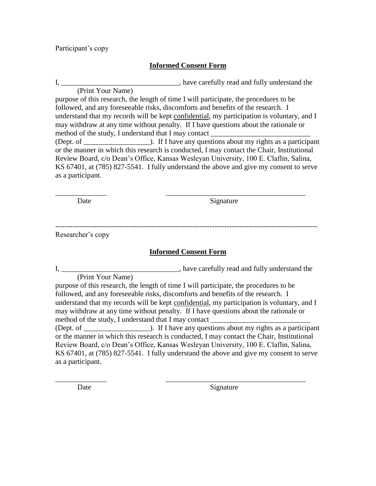Participant's copy

## **Informed Consent Form**

I, \_\_\_\_\_\_\_\_\_\_\_\_\_\_\_\_\_\_\_\_\_\_\_\_\_\_\_\_\_\_\_\_\_\_, have carefully read and fully understand the

(Print Your Name) purpose of this research, the length of time I will participate, the procedures to be followed, and any foreseeable risks, discomforts and benefits of the research. I understand that my records will be kept confidential, my participation is voluntary, and I may withdraw at any time without penalty. If I have questions about the rationale or method of the study, I understand that I may contact

(Dept. of  $\Box$ ). If I have any questions about my rights as a participant or the manner in which this research is conducted, I may contact the Chair, Institutional Review Board, c/o Dean's Office, Kansas Wesleyan University, 100 E. Claflin, Salina, KS 67401, at (785) 827-5541. I fully understand the above and give my consent to serve as a participant.

Date Signature

----------------------------------------------------------------------------------------------------------- Researcher's copy

\_\_\_\_\_\_\_\_\_\_\_\_\_\_ \_\_\_\_\_\_\_\_\_\_\_\_\_\_\_\_\_\_\_\_\_\_\_\_\_\_\_\_\_\_\_\_\_\_\_\_\_\_

## **Informed Consent Form**

I, \_\_\_\_\_\_\_\_\_\_\_\_\_\_\_\_\_\_\_\_\_\_\_\_\_\_\_\_\_\_\_\_, have carefully read and fully understand the (Print Your Name)

purpose of this research, the length of time I will participate, the procedures to be followed, and any foreseeable risks, discomforts and benefits of the research. I understand that my records will be kept confidential, my participation is voluntary, and I may withdraw at any time without penalty. If I have questions about the rationale or method of the study, I understand that I may contact (Dept. of \_\_\_\_\_\_\_\_\_\_\_\_\_\_\_\_\_\_). If I have any questions about my rights as a participant or the manner in which this research is conducted, I may contact the Chair, Institutional Review Board, c/o Dean's Office, Kansas Wesleyan University, 100 E. Claflin, Salina, KS 67401, at (785) 827-5541. I fully understand the above and give my consent to serve as a participant.

\_\_\_\_\_\_\_\_\_\_\_\_\_\_ \_\_\_\_\_\_\_\_\_\_\_\_\_\_\_\_\_\_\_\_\_\_\_\_\_\_\_\_\_\_\_\_\_\_\_\_\_\_

Date Signature